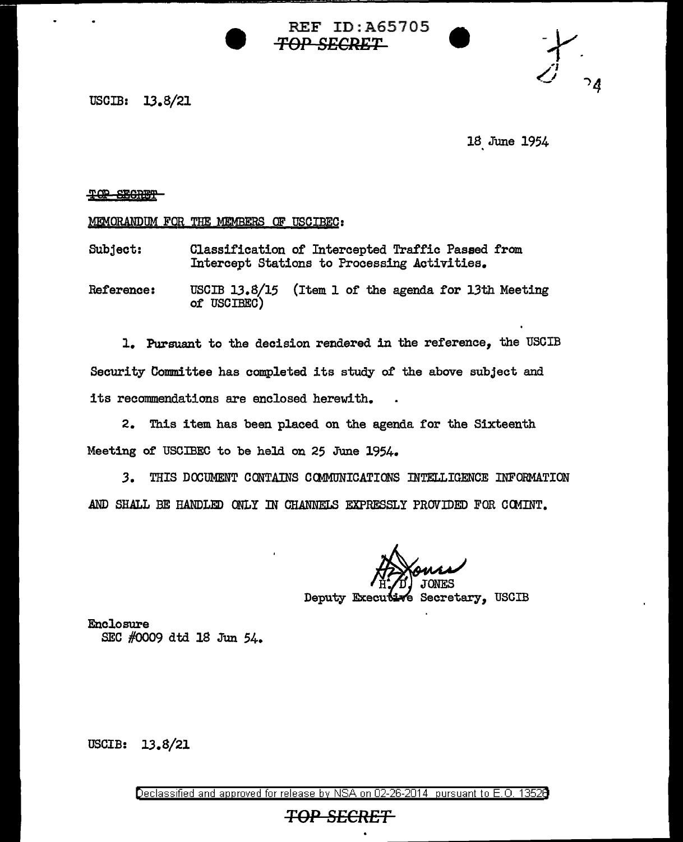USCIB: 13.8/21

18. June 1954

## TOP SECRET

MEMORANDUM FOR THE MEMBERS OF USCIBEC:

SUbject: Classification of Intercepted Traffic Passed from Intercept Stations to Processing Activities.

Reference: USCIB 13.8/15 (Item 1 of the agenda for 13th Meeting of USCIBEC)

REF ID:A65705

**TOP SECRET** 

1. Pursuant to the decision rendered in the reference, the USCIB Security Committee has completed its study of the above subject and its recommendations are enclosed herewith.

2. This item has been placed on the agenda for the Sixteenth Meeting of USOIBEC to be held on 25 June 1954.

*3.* THIS DOOUMENT CONTAINS CCMMONICATIONS INTELLIGENCE INFORMATION AND SHALL BE HANDLED ONLY IN CHANNELS EXPRESSLY PROVIDED FOR CCMINT.

Deputy Executive Secretary, USCIB

Enclosure SEC #0009 dtd 18 Jun 54.

USCIB: 13.8/21

Declassified and approved for release by NSA on 02-26-2014 pursuant to E. 0. 1352B